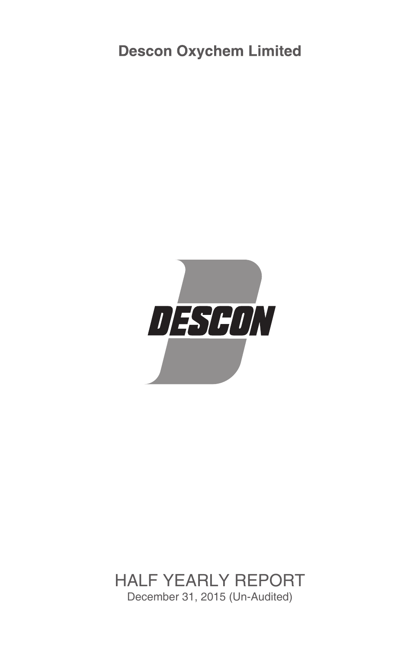**Descon Oxychem Limited** 



## December 31, 2015 (Un-Audited) HALF YEARLY REPORT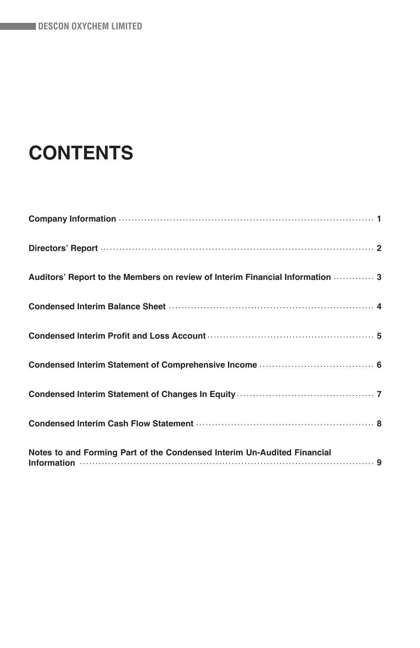# **CONTENTS**

| Auditors' Report to the Members on review of Interim Financial Information  3 |
|-------------------------------------------------------------------------------|
|                                                                               |
|                                                                               |
|                                                                               |
|                                                                               |
|                                                                               |
| Notes to and Forming Part of the Condensed Interim Un-Audited Financial       |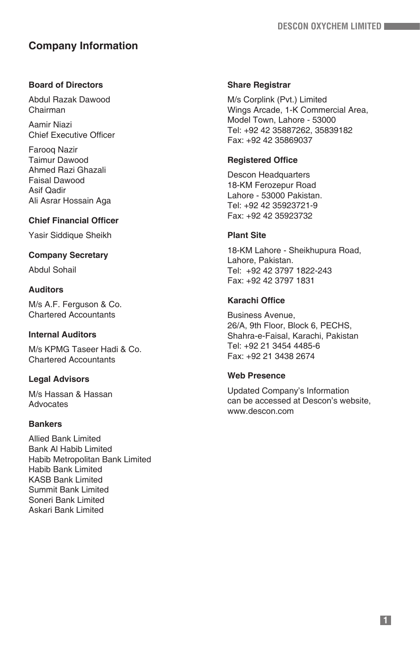## **Company Information**

## **Board of Directors**

Abdul Razak Dawood Chairman

Aamir Niazi Chief Executive Officer

Farooq Nazir Taimur Dawood Ahmed Razi Ghazali Faisal Dawood Asif Qadir Ali Asrar Hossain Aga

## **Chief Financial Officer**

Yasir Siddique Sheikh

## **Company Secretary**

Abdul Sohail

## **Auditors**

M/s A.F. Ferguson & Co. Chartered Accountants

## **Internal Auditors**

M/s KPMG Taseer Hadi & Co. Chartered Accountants

## **Legal Advisors**

M/s Hassan & Hassan Advocates

## **Bankers**

Allied Bank Limited Bank Al Habib Limited Habib Metropolitan Bank Limited Habib Bank Limited KASB Bank Limited Summit Bank Limited Soneri Bank Limited Askari Bank Limited

## **Share Registrar**

M/s Corplink (Pvt.) Limited Wings Arcade, 1-K Commercial Area, Model Town, Lahore - 53000 Tel: +92 42 35887262, 35839182 Fax: +92 42 35869037

## **Registered Office**

Descon Headquarters 18-KM Ferozepur Road Lahore - 53000 Pakistan. Tel: +92 42 35923721-9 Fax: +92 42 35923732

## **Plant Site**

18-KM Lahore - Sheikhupura Road, Lahore, Pakistan. Tel: +92 42 3797 1822-243 Fax: +92 42 3797 1831

## **Karachi Office**

Business Avenue, 26/A, 9th Floor, Block 6, PECHS, Shahra-e-Faisal, Karachi, Pakistan Tel: +92 21 3454 4485-6 Fax: +92 21 3438 2674

## **Web Presence**

Updated Company's Information can be accessed at Descon's website, www.descon.com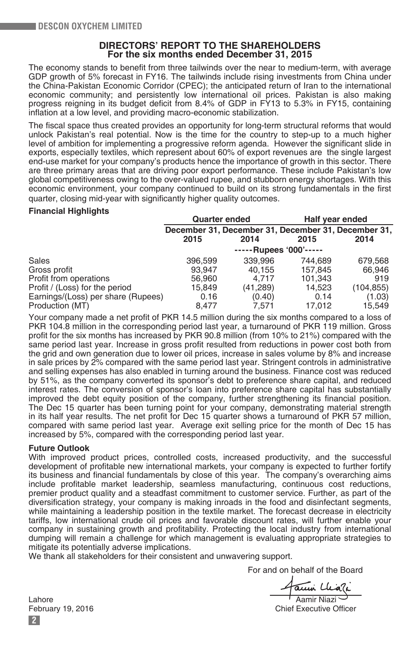## **DIRECTORS' REPORT TO THE SHAREHOLDERS For the six months ended December 31, 2015**

The economy stands to benefit from three tailwinds over the near to medium-term, with average GDP growth of 5% forecast in FY16. The tailwinds include rising investments from China under the China-Pakistan Economic Corridor (CPEC); the anticipated return of Iran to the international economic community; and persistently low international oil prices. Pakistan is also making progress reigning in its budget deficit from 8.4% of GDP in FY13 to 5.3% in FY15, containing inflation at a low level, and providing macro-economic stabilization.

The fiscal space thus created provides an opportunity for long-term structural reforms that would unlock Pakistan's real potential. Now is the time for the country to step-up to a much higher level of ambition for implementing a progressive reform agenda. However the significant slide in exports, especially textiles, which represent about 60% of export revenues are the single largest end-use market for your company's products hence the importance of growth in this sector. There are three primary areas that are driving poor export performance. These include Pakistan's low global competitiveness owing to the over-valued rupee, and stubborn energy shortages. With this economic environment, your company continued to build on its strong fundamentals in the first quarter, closing mid-year with significantly higher quality outcomes.

#### **Financial Highlights**

|                                    | <b>Quarter ended</b>                                |          | Half year ended        |            |
|------------------------------------|-----------------------------------------------------|----------|------------------------|------------|
|                                    | December 31, December 31, December 31, December 31, |          |                        |            |
|                                    | 2015                                                | 2014     | 2015                   | 2014       |
|                                    |                                                     |          | -----Rupees '000'----- |            |
| Sales                              | 396.599                                             | 339,996  | 744.689                | 679.568    |
| Gross profit                       | 93.947                                              | 40.155   | 157.845                | 66.946     |
| Profit from operations             | 56.960                                              | 4.717    | 101.343                | 919        |
| Profit / (Loss) for the period     | 15.849                                              | (41,289) | 14.523                 | (104, 855) |
| Earnings/(Loss) per share (Rupees) | 0.16                                                | (0.40)   | 0.14                   | (1.03)     |
| Production (MT)                    | 8,477                                               | 7.571    | 17.012                 | 15.549     |

Your company made a net profit of PKR 14.5 million during the six months compared to a loss of PKR 104.8 million in the corresponding period last year, a turnaround of PKR 119 million. Gross profit for the six months has increased by PKR 90.8 million (from 10% to 21%) compared with the same period last year. Increase in gross profit resulted from reductions in power cost both from the grid and own generation due to lower oil prices, increase in sales volume by 8% and increase in sale prices by 2% compared with the same period last year. Stringent controls in administrative and selling expenses has also enabled in turning around the business. Finance cost was reduced by 51%, as the company converted its sponsor's debt to preference share capital, and reduced interest rates. The conversion of sponsor's loan into preference share capital has substantially improved the debt equity position of the company, further strengthening its financial position. The Dec 15 quarter has been turning point for your company, demonstrating material strength in its half year results. The net profit for Dec 15 quarter shows a turnaround of PKR 57 million, compared with same period last year. Average exit selling price for the month of Dec 15 has increased by 5%, compared with the corresponding period last year.

#### **Future Outlook**

With improved product prices, controlled costs, increased productivity, and the successful development of profitable new international markets, your company is expected to further fortify its business and financial fundamentals by close of this year. The company's overarching aims include profitable market leadership, seamless manufacturing, continuous cost reductions, premier product quality and a steadfast commitment to customer service. Further, as part of the diversification strategy, your company is making inroads in the food and disinfectant segments, while maintaining a leadership position in the textile market. The forecast decrease in electricity tariffs, low international crude oil prices and favorable discount rates, will further enable your company in sustaining growth and profitability. Protecting the local industry from international dumping will remain a challenge for which management is evaluating appropriate strategies to mitigate its potentially adverse implications.

We thank all stakeholders for their consistent and unwavering support.

For and on behalf of the Board

Lahore<br>
February 19, 2016<br>
February 19, 2016

Chief Executive Officer

**2**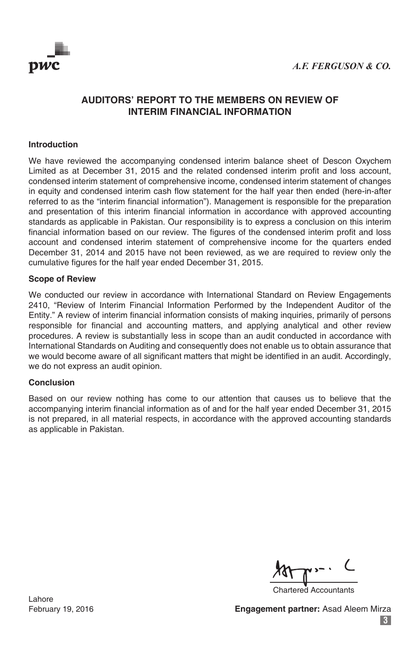

## **AUDITORS' REPORT TO THE MEMBERS ON REVIEW OF INTERIM FINANCIAL INFORMATION**

## **Introduction**

We have reviewed the accompanying condensed interim balance sheet of Descon Oxychem Limited as at December 31, 2015 and the related condensed interim profit and loss account, condensed interim statement of comprehensive income, condensed interim statement of changes in equity and condensed interim cash flow statement for the half year then ended (here-in-after referred to as the "interim financial information"). Management is responsible for the preparation and presentation of this interim financial information in accordance with approved accounting standards as applicable in Pakistan. Our responsibility is to express a conclusion on this interim financial information based on our review. The figures of the condensed interim profit and loss account and condensed interim statement of comprehensive income for the quarters ended December 31, 2014 and 2015 have not been reviewed, as we are required to review only the cumulative figures for the half year ended December 31, 2015.

### **Scope of Review**

We conducted our review in accordance with International Standard on Review Engagements 2410, "Review of Interim Financial Information Performed by the Independent Auditor of the Entity." A review of interim financial information consists of making inquiries, primarily of persons responsible for financial and accounting matters, and applying analytical and other review procedures. A review is substantially less in scope than an audit conducted in accordance with International Standards on Auditing and consequently does not enable us to obtain assurance that we would become aware of all significant matters that might be identified in an audit. Accordingly, we do not express an audit opinion.

#### **Conclusion**

Based on our review nothing has come to our attention that causes us to believe that the accompanying interim financial information as of and for the half year ended December 31, 2015 is not prepared, in all material respects, in accordance with the approved accounting standards as applicable in Pakistan.

Chartered Accountants

Lahore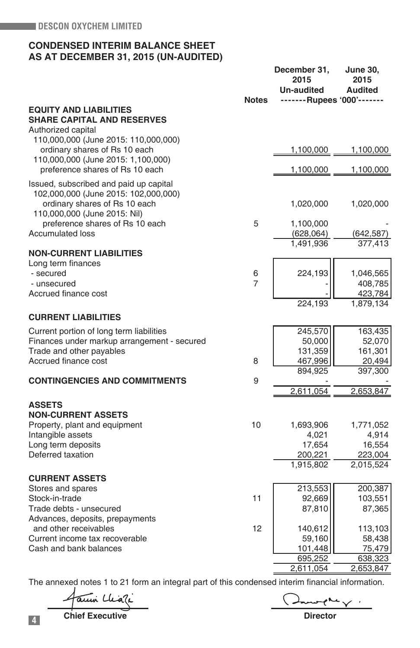## **CONDENSED INTERIM BALANCE SHEET AS AT DECEMBER 31, 2015 (UN-AUDITED)**

|                                                                                |                | December 31,<br>2015<br>Un-audited | <b>June 30,</b><br>2015<br><b>Audited</b> |
|--------------------------------------------------------------------------------|----------------|------------------------------------|-------------------------------------------|
| <b>EQUITY AND LIABILITIES</b>                                                  | <b>Notes</b>   | -------Rupees '000'-------         |                                           |
| <b>SHARE CAPITAL AND RESERVES</b>                                              |                |                                    |                                           |
| Authorized capital                                                             |                |                                    |                                           |
| 110,000,000 (June 2015: 110,000,000)                                           |                |                                    |                                           |
| ordinary shares of Rs 10 each                                                  |                | 1,100,000                          | 1,100,000                                 |
| 110,000,000 (June 2015: 1,100,000)<br>preference shares of Rs 10 each          |                | 1,100,000                          | 1,100,000                                 |
|                                                                                |                |                                    |                                           |
| Issued, subscribed and paid up capital<br>102,000,000 (June 2015: 102,000,000) |                |                                    |                                           |
| ordinary shares of Rs 10 each                                                  |                | 1,020,000                          | 1,020,000                                 |
| 110,000,000 (June 2015: Nil)                                                   |                |                                    |                                           |
| preference shares of Rs 10 each                                                | 5              | 1,100,000                          |                                           |
| <b>Accumulated loss</b>                                                        |                | (628, 064)                         | (642, 587)                                |
|                                                                                |                | 1,491,936                          | 377,413                                   |
| <b>NON-CURRENT LIABILITIES</b>                                                 |                |                                    |                                           |
| Long term finances<br>- secured                                                | 6              | 224,193                            | 1,046,565                                 |
| - unsecured                                                                    | $\overline{7}$ |                                    | 408,785                                   |
| Accrued finance cost                                                           |                |                                    | 423,784                                   |
|                                                                                |                | 224,193                            | 1,879,134                                 |
| <b>CURRENT LIABILITIES</b>                                                     |                |                                    |                                           |
| Current portion of long term liabilities                                       |                | 245,570                            | 163,435                                   |
| Finances under markup arrangement - secured                                    |                | 50,000                             | 52,070                                    |
| Trade and other payables                                                       |                | 131,359                            | 161,301                                   |
| Accrued finance cost                                                           | 8              | 467,996                            | 20,494                                    |
|                                                                                |                | 894,925                            | 397,300                                   |
| <b>CONTINGENCIES AND COMMITMENTS</b>                                           | 9              | 2,611,054                          | 2,653,847                                 |
|                                                                                |                |                                    |                                           |
| <b>ASSETS</b><br><b>NON-CURRENT ASSETS</b>                                     |                |                                    |                                           |
| Property, plant and equipment                                                  | 10             | 1,693,906                          | 1,771,052                                 |
| Intangible assets                                                              |                | 4,021                              | 4,914                                     |
| Long term deposits                                                             |                | 17,654                             | 16,554                                    |
| Deferred taxation                                                              |                | 200,221                            | 223,004                                   |
|                                                                                |                | 1,915,802                          | 2,015,524                                 |
| <b>CURRENT ASSETS</b>                                                          |                |                                    |                                           |
| Stores and spares                                                              |                | 213,553                            | 200,387                                   |
| Stock-in-trade                                                                 | 11             | 92,669                             | 103,551                                   |
| Trade debts - unsecured                                                        |                | 87,810                             | 87,365                                    |
| Advances, deposits, prepayments                                                |                |                                    |                                           |
| and other receivables<br>Current income tax recoverable                        | 12             | 140,612<br>59,160                  | 113,103<br>58,438                         |
| Cash and bank balances                                                         |                | 101,448                            | 75,479                                    |
|                                                                                |                | 695,252                            | 638,323                                   |
|                                                                                |                | 2,611,054                          | 2,653,847                                 |
|                                                                                |                |                                    |                                           |

The annexed notes 1 to 21 form an integral part of this condensed interim financial information.

Facuni Cliati

 $\sim$   $\sim$   $\sim$   $\sim$ 

**4 Chief Executive Director**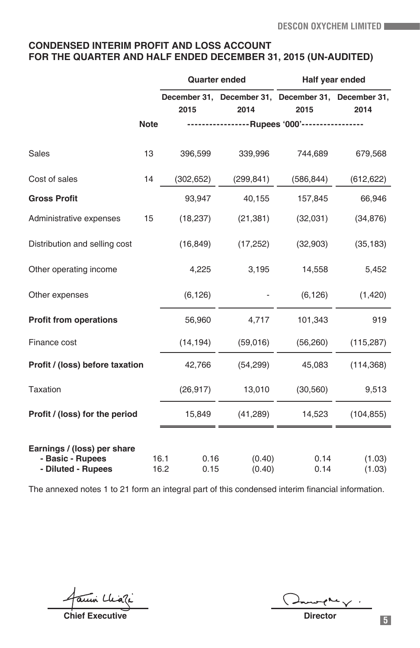## **CONDENSED INTERIM PROFIT AND LOSS ACCOUNT FOR THE QUARTER AND HALF ENDED DECEMBER 31, 2015 (UN-AUDITED)**

|                                                                       |             |                              | <b>Quarter ended</b>                                | Half year ended |                  |
|-----------------------------------------------------------------------|-------------|------------------------------|-----------------------------------------------------|-----------------|------------------|
|                                                                       |             |                              | December 31, December 31, December 31, December 31, |                 |                  |
|                                                                       |             | 2015                         | 2014                                                | 2015            | 2014             |
|                                                                       | <b>Note</b> |                              | ----------------Rupees '000'-----------------       |                 |                  |
| Sales                                                                 | 13          | 396,599                      | 339,996                                             | 744,689         | 679,568          |
| Cost of sales                                                         | 14          | (302, 652)                   | (299, 841)                                          | (586, 844)      | (612, 622)       |
| <b>Gross Profit</b>                                                   |             | 93,947                       | 40,155                                              | 157,845         | 66,946           |
| Administrative expenses                                               | 15          | (18, 237)                    | (21, 381)                                           | (32,031)        | (34, 876)        |
| Distribution and selling cost                                         |             | (16, 849)                    | (17, 252)                                           | (32,903)        | (35, 183)        |
| Other operating income                                                |             | 4,225                        | 3,195                                               | 14,558          | 5,452            |
| Other expenses                                                        |             | (6, 126)                     |                                                     | (6, 126)        | (1,420)          |
| <b>Profit from operations</b>                                         |             | 56,960                       | 4,717                                               | 101,343         | 919              |
| Finance cost                                                          |             | (14, 194)                    | (59,016)                                            | (56, 260)       | (115, 287)       |
| Profit / (loss) before taxation                                       |             | 42,766                       | (54, 299)                                           | 45,083          | (114, 368)       |
| <b>Taxation</b>                                                       |             | (26, 917)                    | 13,010                                              | (30, 560)       | 9,513            |
| Profit / (loss) for the period                                        |             | 15,849                       | (41, 289)                                           | 14,523          | (104, 855)       |
|                                                                       |             |                              |                                                     |                 |                  |
| Earnings / (loss) per share<br>- Basic - Rupees<br>- Diluted - Rupees |             | 16.1<br>0.16<br>16.2<br>0.15 | (0.40)<br>(0.40)                                    | 0.14<br>0.14    | (1.03)<br>(1.03) |

The annexed notes 1 to 21 form an integral part of this condensed interim financial information.

amin Chiali

**Chief Executive** <br> **Chief Executive** 

 $\epsilon$  and  $\sqrt{2}$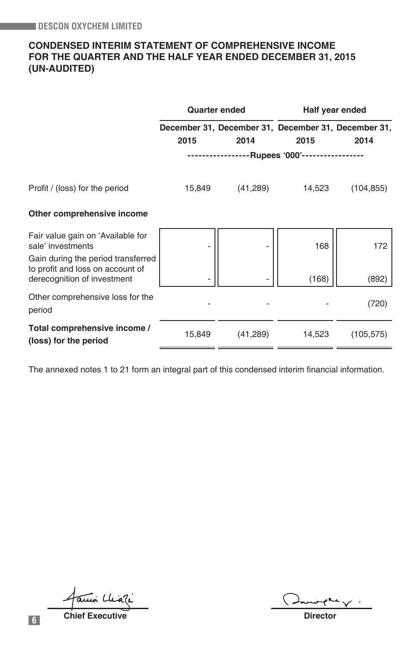## **CONDENSED INTERIM STATEMENT OF COMPREHENSIVE INCOME FOR THE QUARTER AND THE HALF YEAR ENDED DECEMBER 31, 2015 (UN-AUDITED)**

|                                                                                                       |             | <b>Quarter ended</b>                                |                           | Half year ended |
|-------------------------------------------------------------------------------------------------------|-------------|-----------------------------------------------------|---------------------------|-----------------|
|                                                                                                       |             | December 31, December 31, December 31, December 31, |                           |                 |
|                                                                                                       | 2015        | 2014                                                | 2015                      | 2014            |
|                                                                                                       | ----------- |                                                     | -Rupees '000'------------ |                 |
| Profit / (loss) for the period                                                                        | 15,849      | (41,289)                                            | 14,523                    | (104, 855)      |
| Other comprehensive income                                                                            |             |                                                     |                           |                 |
| Fair value gain on 'Available for<br>sale' investments                                                |             |                                                     | 168                       | 172             |
| Gain during the period transferred<br>to profit and loss on account of<br>derecognition of investment |             |                                                     | (168)                     | (892)           |
| Other comprehensive loss for the<br>period                                                            |             |                                                     |                           | (720)           |
| Total comprehensive income /<br>(loss) for the period                                                 | 15,849      | (41,289)                                            | 14,523                    | (105, 575)      |

The annexed notes 1 to 21 form an integral part of this condensed interim financial information.

auni Cliati

**6 Chief Executive Chief Executive Director**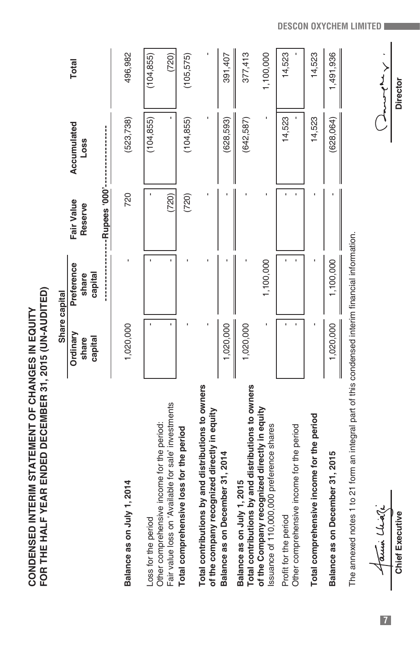|                                                                                                    | Share capital |            |            |             |              |
|----------------------------------------------------------------------------------------------------|---------------|------------|------------|-------------|--------------|
|                                                                                                    | Ordinary      | Preference | Fair Value | Accumulated | <b>Total</b> |
|                                                                                                    | share         | share      | Reserve    | Loss        |              |
|                                                                                                    | capital       | capital    |            |             |              |
|                                                                                                    |               |            |            |             |              |
| Balance as on July 1, 2014                                                                         | 1,020,000     |            | 720        | (523, 738)  | 496,982      |
| Loss for the period                                                                                |               |            |            | (104, 855)  | (104, 855)   |
| Fair value loss on 'Available for sale' investments<br>Other comprehensive income for the period:  |               |            | (720)      |             | (720)        |
| Total comprehensive loss for the period                                                            |               |            | (720)      | (104, 855)  | (105, 575)   |
| Total contributions by and distributions to owners<br>of the company recognized directly in equity |               |            |            |             |              |
| Balance as on December 31, 2014                                                                    | 1,020,000     |            |            | (628,593)   | 391,407      |
| Total contributions by and distributions to owners<br>Balance as on July 1, 2015                   | 1,020,000     |            |            | (642,587)   | 377,413      |
| of the Company recognized directly in equity<br>Issuance of 110,000,000 preference shares          |               | 1,100,000  |            |             | 1,100,000    |
| Other comprehensive income for the period<br>Profit for the period                                 |               |            |            | 14,523      | 14,523       |
| Total comprehensive income for the period                                                          |               |            |            | 14,523      | 14,523       |
| Balance as on December 31, 2015                                                                    | 1,020,000     | 1,100,000  |            | (628,064)   | 1,491,936    |
| The annexed notes 1 to 21 form an integral part of this condensed interim financial information.   |               |            |            |             |              |

The annexed notes 1 to 21 form an integral part of this condensed interim financial information.

**Chief Executive Director**  $\frac{\sqrt{\alpha \mu \mu} \cdot \mu \lambda \gamma}{\text{Chief Exception}}$ 

**DESCON OXYCHEM LIMITED**

 $\begin{tabular}{|c|c|} \hline \multicolumn{1}{|c|}{\textbf{1}} & \multicolumn{1}{|c|}{\textbf{2}} & \multicolumn{1}{|c|}{\textbf{3}} & \multicolumn{1}{|c|}{\textbf{4}} & \multicolumn{1}{|c|}{\textbf{5}} & \multicolumn{1}{|c|}{\textbf{6}} & \multicolumn{1}{|c|}{\textbf{6}} & \multicolumn{1}{|c|}{\textbf{6}} & \multicolumn{1}{|c|}{\textbf{7}} & \multicolumn{1}{|c|}{\textbf{8}} & \multicolumn{1}{|c|}{\textbf{9}} & \multicolumn{1}{$ 

**7**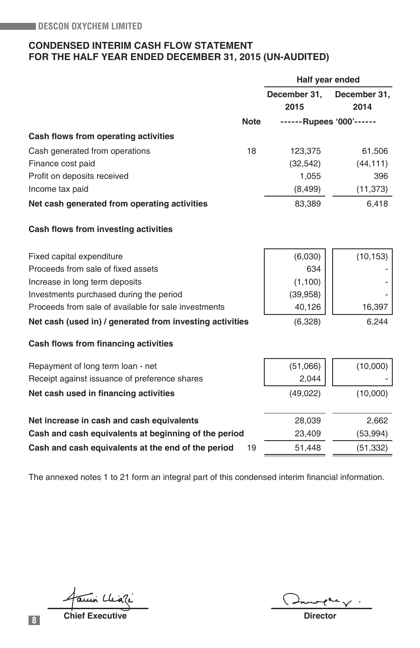## **CONDENSED INTERIM CASH FLOW STATEMENT FOR THE HALF YEAR ENDED DECEMBER 31, 2015 (UN-AUDITED)**

|                                                          |             |              | Half year ended          |
|----------------------------------------------------------|-------------|--------------|--------------------------|
|                                                          |             | December 31, | December 31,             |
|                                                          |             | 2015         | 2014                     |
|                                                          | <b>Note</b> |              | ------Rupees '000'------ |
| Cash flows from operating activities                     |             |              |                          |
| Cash generated from operations                           | 18          | 123,375      | 61,506                   |
| Finance cost paid                                        |             | (32, 542)    | (44, 111)                |
| Profit on deposits received                              |             | 1,055        | 396                      |
| Income tax paid                                          |             | (8, 499)     | (11, 373)                |
| Net cash generated from operating activities             |             | 83,389       | 6,418                    |
| Cash flows from investing activities                     |             |              |                          |
| Fixed capital expenditure                                |             | (6,030)      | (10, 153)                |
| Proceeds from sale of fixed assets                       |             | 634          |                          |
| Increase in long term deposits                           |             | (1,100)      |                          |
| Investments purchased during the period                  |             | (39, 958)    |                          |
| Proceeds from sale of available for sale investments     |             | 40,126       | 16,397                   |
| Net cash (used in) / generated from investing activities |             | (6,328)      | 6,244                    |
| Cash flows from financing activities                     |             |              |                          |
| Repayment of long term loan - net                        |             | (51,066)     | (10,000)                 |
| Receipt against issuance of preference shares            |             | 2,044        |                          |
| Net cash used in financing activities                    |             | (49, 022)    | (10,000)                 |
| Net increase in cash and cash equivalents                |             | 28,039       | 2,662                    |
| Cash and cash equivalents at beginning of the period     |             | 23,409       | (53, 994)                |
| Cash and cash equivalents at the end of the period       | 19          | 51,448       | (51, 332)                |

The annexed notes 1 to 21 form an integral part of this condensed interim financial information.

ami Chiali

**8 Chief Executive Construction Chief Executive** Director

 $\overline{\phantom{a}}$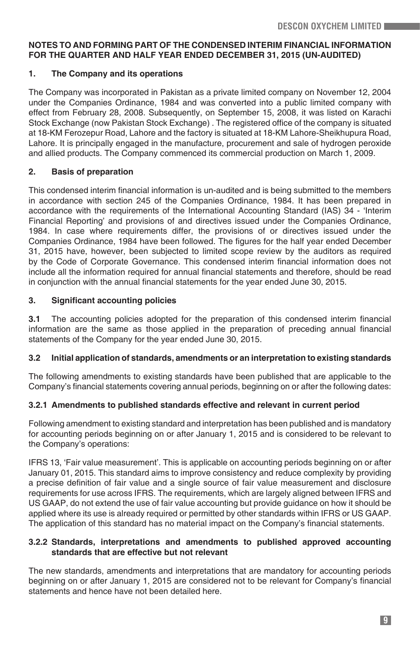## **NOTES TO AND FORMING PART OF THE CONDENSED INTERIM FINANCIAL INFORMATION FOR THE QUARTER AND HALF YEAR ENDED DECEMBER 31, 2015 (UN-AUDITED)**

## **1. The Company and its operations**

The Company was incorporated in Pakistan as a private limited company on November 12, 2004 under the Companies Ordinance, 1984 and was converted into a public limited company with effect from February 28, 2008. Subsequently, on September 15, 2008, it was listed on Karachi Stock Exchange (now Pakistan Stock Exchange) . The registered office of the company is situated at 18-KM Ferozepur Road, Lahore and the factory is situated at 18-KM Lahore-Sheikhupura Road, Lahore. It is principally engaged in the manufacture, procurement and sale of hydrogen peroxide and allied products. The Company commenced its commercial production on March 1, 2009.

## **2. Basis of preparation**

This condensed interim financial information is un-audited and is being submitted to the members in accordance with section 245 of the Companies Ordinance, 1984. It has been prepared in accordance with the requirements of the International Accounting Standard (IAS) 34 - 'Interim Financial Reporting' and provisions of and directives issued under the Companies Ordinance, 1984. In case where requirements differ, the provisions of or directives issued under the Companies Ordinance, 1984 have been followed. The figures for the half year ended December 31, 2015 have, however, been subjected to limited scope review by the auditors as required by the Code of Corporate Governance. This condensed interim financial information does not include all the information required for annual financial statements and therefore, should be read in conjunction with the annual financial statements for the year ended June 30, 2015.

## **3. Significant accounting policies**

**3.1** The accounting policies adopted for the preparation of this condensed interim financial information are the same as those applied in the preparation of preceding annual financial statements of the Company for the year ended June 30, 2015.

## **3.2 Initial application of standards, amendments or an interpretation to existing standards**

The following amendments to existing standards have been published that are applicable to the Company's financial statements covering annual periods, beginning on or after the following dates:

## **3.2.1 Amendments to published standards effective and relevant in current period**

Following amendment to existing standard and interpretation has been published and is mandatory for accounting periods beginning on or after January 1, 2015 and is considered to be relevant to the Company's operations:

IFRS 13, 'Fair value measurement'. This is applicable on accounting periods beginning on or after January 01, 2015. This standard aims to improve consistency and reduce complexity by providing a precise definition of fair value and a single source of fair value measurement and disclosure requirements for use across IFRS. The requirements, which are largely aligned between IFRS and US GAAP, do not extend the use of fair value accounting but provide guidance on how it should be applied where its use is already required or permitted by other standards within IFRS or US GAAP. The application of this standard has no material impact on the Company's financial statements.

## **3.2.2 Standards, interpretations and amendments to published approved accounting standards that are effective but not relevant**

The new standards, amendments and interpretations that are mandatory for accounting periods beginning on or after January 1, 2015 are considered not to be relevant for Company's financial statements and hence have not been detailed here.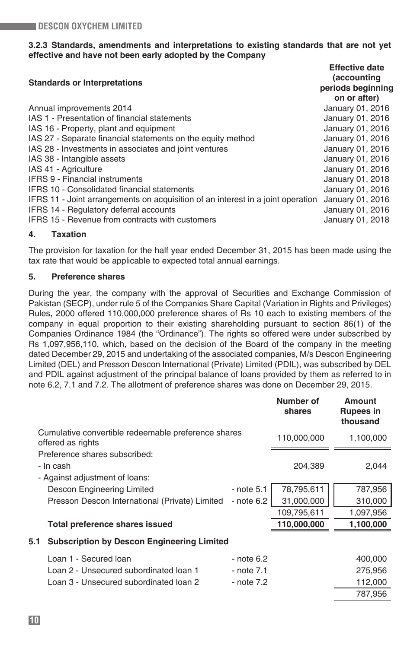## **3.2.3 Standards, amendments and interpretations to existing standards that are not yet effective and have not been early adopted by the Company**

| <b>Standards or Interpretations</b>                                                                                                                                                        | <b>Effective date</b><br>(accounting<br>periods beginning<br>on or after) |
|--------------------------------------------------------------------------------------------------------------------------------------------------------------------------------------------|---------------------------------------------------------------------------|
| Annual improvements 2014                                                                                                                                                                   | January 01, 2016                                                          |
| IAS 1 - Presentation of financial statements                                                                                                                                               | January 01, 2016                                                          |
| IAS 16 - Property, plant and equipment                                                                                                                                                     | January 01, 2016                                                          |
| IAS 27 - Separate financial statements on the equity method                                                                                                                                | January 01, 2016                                                          |
| IAS 28 - Investments in associates and joint ventures                                                                                                                                      | January 01, 2016                                                          |
| IAS 38 - Intangible assets                                                                                                                                                                 | January 01, 2016                                                          |
| IAS 41 - Agriculture                                                                                                                                                                       | January 01, 2016                                                          |
| <b>IFRS 9 - Financial instruments</b>                                                                                                                                                      | January 01, 2018                                                          |
| <b>IFRS 10 - Consolidated financial statements</b>                                                                                                                                         | January 01, 2016                                                          |
| IFRS 11 - Joint arrangements on acquisition of an interest in a joint operation<br><b>IFRS 14 - Regulatory deferral accounts</b><br><b>IFRS 15 - Revenue from contracts with customers</b> | January 01, 2016<br>January 01, 2016<br>January 01, 2018                  |
|                                                                                                                                                                                            |                                                                           |

## **4. Taxation**

The provision for taxation for the half year ended December 31, 2015 has been made using the tax rate that would be applicable to expected total annual earnings.

## **5. Preference shares**

During the year, the company with the approval of Securities and Exchange Commission of Pakistan (SECP), under rule 5 of the Companies Share Capital (Variation in Rights and Privileges) Rules, 2000 offered 110,000,000 preference shares of Rs 10 each to existing members of the company in equal proportion to their existing shareholding pursuant to section 86(1) of the Companies Ordinance 1984 (the "Ordinance"). The rights so offered were under subscribed by Rs 1,097,956,110, which, based on the decision of the Board of the company in the meeting dated December 29, 2015 and undertaking of the associated companies, M/s Descon Engineering Limited (DEL) and Presson Descon International (Private) Limited (PDIL), was subscribed by DEL and PDIL against adjustment of the principal balance of loans provided by them as referred to in note 6.2, 7.1 and 7.2. The allotment of preference shares was done on December 29, 2015.

|     |                                                                          |                | Number of<br>shares | Amount<br><b>Rupees in</b><br>thousand |
|-----|--------------------------------------------------------------------------|----------------|---------------------|----------------------------------------|
|     | Cumulative convertible redeemable preference shares<br>offered as rights |                | 110,000,000         | 1,100,000                              |
|     | Preference shares subscribed:                                            |                |                     |                                        |
|     | - In cash                                                                |                | 204,389             | 2,044                                  |
|     | - Against adjustment of loans:                                           |                |                     |                                        |
|     | Descon Engineering Limited                                               | $-$ note $5.1$ | 78,795,611          | 787,956                                |
|     | Presson Descon International (Private) Limited                           | - note 6.2     | 31,000,000          | 310,000                                |
|     |                                                                          |                | 109,795,611         | 1,097,956                              |
|     | Total preference shares issued                                           |                | 110,000,000         | 1,100,000                              |
| 5.1 | <b>Subscription by Descon Engineering Limited</b>                        |                |                     |                                        |
|     | Loan 1 - Secured Ioan                                                    | $-$ note 6.2   |                     | 400,000                                |
|     | Loan 2 - Unsecured subordinated loan 1                                   | - note 7.1     |                     | 275,956                                |
|     | Loan 3 - Unsecured subordinated loan 2                                   | - note 7.2     |                     | 112,000                                |
|     |                                                                          |                |                     | 787,956                                |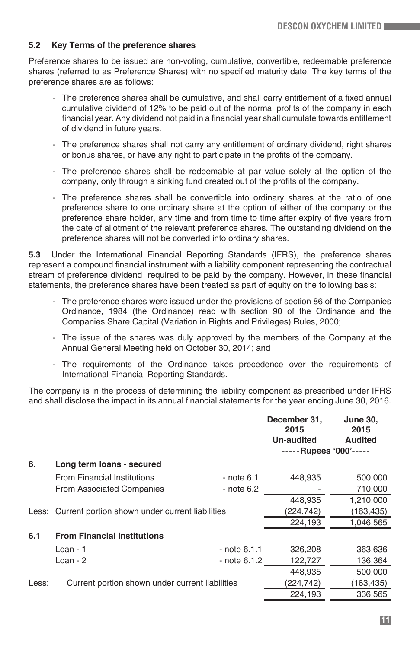## **5.2 Key Terms of the preference shares**

Preference shares to be issued are non-voting, cumulative, convertible, redeemable preference shares (referred to as Preference Shares) with no specified maturity date. The key terms of the preference shares are as follows:

- The preference shares shall be cumulative, and shall carry entitlement of a fixed annual cumulative dividend of 12% to be paid out of the normal profits of the company in each financial year. Any dividend not paid in a financial year shall cumulate towards entitlement of dividend in future years.
- The preference shares shall not carry any entitlement of ordinary dividend, right shares or bonus shares, or have any right to participate in the profits of the company.
- The preference shares shall be redeemable at par value solely at the option of the company, only through a sinking fund created out of the profits of the company.
- The preference shares shall be convertible into ordinary shares at the ratio of one preference share to one ordinary share at the option of either of the company or the preference share holder, any time and from time to time after expiry of five years from the date of allotment of the relevant preference shares. The outstanding dividend on the preference shares will not be converted into ordinary shares.

**5.3** Under the International Financial Reporting Standards (IFRS), the preference shares represent a compound financial instrument with a liability component representing the contractual stream of preference dividend required to be paid by the company. However, in these financial statements, the preference shares have been treated as part of equity on the following basis:

- The preference shares were issued under the provisions of section 86 of the Companies Ordinance, 1984 (the Ordinance) read with section 90 of the Ordinance and the Companies Share Capital (Variation in Rights and Privileges) Rules, 2000;
- The issue of the shares was duly approved by the members of the Company at the Annual General Meeting held on October 30, 2014; and
- The requirements of the Ordinance takes precedence over the requirements of International Financial Reporting Standards.

The company is in the process of determining the liability component as prescribed under IFRS and shall disclose the impact in its annual financial statements for the year ending June 30, 2016.

|       |                                                       |                | December 31,<br>2015<br>Un-audited | <b>June 30,</b><br>2015<br><b>Audited</b> |
|-------|-------------------------------------------------------|----------------|------------------------------------|-------------------------------------------|
|       |                                                       |                | -----Rupees '000'-----             |                                           |
| 6.    | Long term loans - secured                             |                |                                    |                                           |
|       | <b>From Financial Institutions</b>                    | - note 6.1     | 448,935                            | 500,000                                   |
|       | From Associated Companies                             | - note 6.2     |                                    | 710,000                                   |
|       |                                                       |                | 448,935                            | 1,210,000                                 |
|       | Less: Current portion shown under current liabilities |                | (224, 742)                         | (163,435)                                 |
|       |                                                       |                | 224,193                            | 1,046,565                                 |
| 6.1   | <b>From Financial Institutions</b>                    |                |                                    |                                           |
|       | $Loan - 1$                                            | $-$ note 6.1.1 | 326,208                            | 363,636                                   |
|       | $Loan - 2$                                            | - note 6.1.2   | 122,727                            | 136,364                                   |
|       |                                                       |                | 448,935                            | 500,000                                   |
| Less: | Current portion shown under current liabilities       |                | (224,742)                          | (163,435)                                 |
|       |                                                       |                | 224,193                            | 336,565                                   |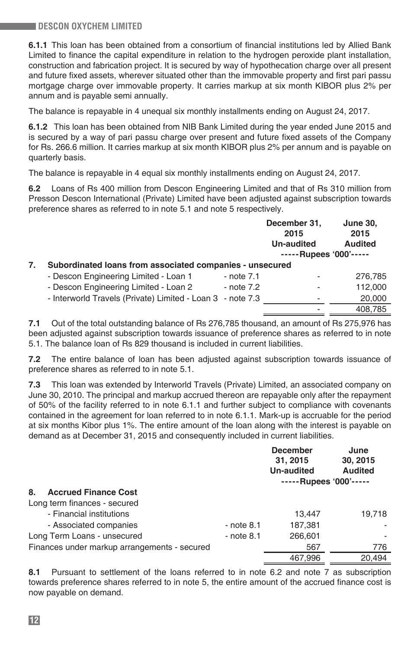**6.1.1** This loan has been obtained from a consortium of financial institutions led by Allied Bank Limited to finance the capital expenditure in relation to the hydrogen peroxide plant installation, construction and fabrication project. It is secured by way of hypothecation charge over all present and future fixed assets, wherever situated other than the immovable property and first pari passu mortgage charge over immovable property. It carries markup at six month KIBOR plus 2% per annum and is payable semi annually.

The balance is repayable in 4 unequal six monthly installments ending on August 24, 2017.

**6.1.2** This loan has been obtained from NIB Bank Limited during the year ended June 2015 and is secured by a way of pari passu charge over present and future fixed assets of the Company for Rs. 266.6 million. It carries markup at six month KIBOR plus 2% per annum and is payable on quarterly basis.

The balance is repayable in 4 equal six monthly installments ending on August 24, 2017.

**6.2** Loans of Rs 400 million from Descon Engineering Limited and that of Rs 310 million from Presson Descon International (Private) Limited have been adjusted against subscription towards preference shares as referred to in note 5.1 and note 5 respectively.

|    |                                                            |            | December 31,<br>2015<br>Un-audited<br>$---$ Rupees '000'----- | June 30,<br>2015<br>Audited |
|----|------------------------------------------------------------|------------|---------------------------------------------------------------|-----------------------------|
| 7. | Subordinated loans from associated companies - unsecured   |            |                                                               |                             |
|    | - Descon Engineering Limited - Loan 1                      | - note 7.1 |                                                               | 276,785                     |
|    | - Descon Engineering Limited - Loan 2                      | - note 7.2 |                                                               | 112,000                     |
|    | - Interworld Travels (Private) Limited - Loan 3 - note 7.3 |            |                                                               | 20,000                      |
|    |                                                            |            |                                                               | 408,785                     |
|    |                                                            |            |                                                               |                             |

**7.1** Out of the total outstanding balance of Rs 276,785 thousand, an amount of Rs 275,976 has been adjusted against subscription towards issuance of preference shares as referred to in note 5.1. The balance loan of Rs 829 thousand is included in current liabilities.

**7.2** The entire balance of loan has been adjusted against subscription towards issuance of preference shares as referred to in note 5.1.

**7.3** This loan was extended by Interworld Travels (Private) Limited, an associated company on June 30, 2010. The principal and markup accrued thereon are repayable only after the repayment of 50% of the facility referred to in note 6.1.1 and further subject to compliance with covenants contained in the agreement for loan referred to in note 6.1.1. Mark-up is accruable for the period at six months Kibor plus 1%. The entire amount of the loan along with the interest is payable on demand as at December 31, 2015 and consequently included in current liabilities.

|                                              |              | <b>December</b><br>31, 2015<br>Un-audited<br>-----Rupees '000'----- | June<br>30, 2015<br><b>Audited</b> |
|----------------------------------------------|--------------|---------------------------------------------------------------------|------------------------------------|
| 8.<br><b>Accrued Finance Cost</b>            |              |                                                                     |                                    |
| Long term finances - secured                 |              |                                                                     |                                    |
| - Financial institutions                     |              | 13.447                                                              | 19.718                             |
| - Associated companies                       | $-$ note 8.1 | 187.381                                                             |                                    |
| Long Term Loans - unsecured                  | $-$ note 8.1 | 266,601                                                             |                                    |
| Finances under markup arrangements - secured |              | 567                                                                 | 776                                |
|                                              |              | 467.996                                                             | 20.494                             |

**8.1** Pursuant to settlement of the loans referred to in note 6.2 and note 7 as subscription towards preference shares referred to in note 5, the entire amount of the accrued finance cost is now payable on demand.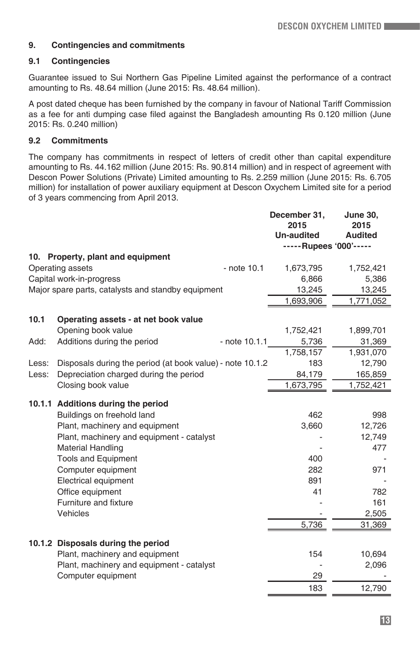## **9. Contingencies and commitments**

## **9.1 Contingencies**

Guarantee issued to Sui Northern Gas Pipeline Limited against the performance of a contract amounting to Rs. 48.64 million (June 2015: Rs. 48.64 million).

A post dated cheque has been furnished by the company in favour of National Tariff Commission as a fee for anti dumping case filed against the Bangladesh amounting Rs 0.120 million (June 2015: Rs. 0.240 million)

## **9.2 Commitments**

The company has commitments in respect of letters of credit other than capital expenditure amounting to Rs. 44.162 million (June 2015: Rs. 90.814 million) and in respect of agreement with Descon Power Solutions (Private) Limited amounting to Rs. 2.259 million (June 2015: Rs. 6.705 million) for installation of power auxiliary equipment at Descon Oxychem Limited site for a period of 3 years commencing from April 2013.

|                                                    |                                                           | December 31,<br>2015   | <b>June 30,</b><br>2015 |
|----------------------------------------------------|-----------------------------------------------------------|------------------------|-------------------------|
|                                                    |                                                           | <b>Un-audited</b>      | <b>Audited</b>          |
|                                                    |                                                           | -----Rupees '000'----- |                         |
|                                                    | 10. Property, plant and equipment                         |                        |                         |
|                                                    | Operating assets<br>- note 10.1                           | 1,673,795              | 1,752,421               |
|                                                    | Capital work-in-progress                                  | 6,866                  | 5,386                   |
| Major spare parts, catalysts and standby equipment |                                                           | 13,245                 | 13,245                  |
|                                                    |                                                           | 1,693,906              | 1,771,052               |
|                                                    |                                                           |                        |                         |
| 10.1                                               | Operating assets - at net book value                      |                        |                         |
|                                                    | Opening book value                                        | 1,752,421              | 1,899,701               |
| Add:                                               | Additions during the period<br>- note 10.1.1              | 5,736                  | 31,369                  |
|                                                    |                                                           | 1,758,157              | 1,931,070               |
| Less:                                              | Disposals during the period (at book value) - note 10.1.2 | 183                    | 12,790                  |
| Less:                                              | Depreciation charged during the period                    | 84,179                 | 165,859                 |
|                                                    | Closing book value                                        | 1,673,795              | 1,752,421               |
|                                                    | 10.1.1 Additions during the period                        |                        |                         |
|                                                    | Buildings on freehold land                                | 462                    | 998                     |
|                                                    | Plant, machinery and equipment                            | 3,660                  | 12,726                  |
|                                                    | Plant, machinery and equipment - catalyst                 |                        | 12,749                  |
|                                                    | <b>Material Handling</b>                                  |                        | 477                     |
|                                                    | <b>Tools and Equipment</b>                                | 400                    |                         |
|                                                    | Computer equipment                                        | 282                    | 971                     |
|                                                    | Electrical equipment                                      | 891                    |                         |
|                                                    | Office equipment                                          | 41                     | 782                     |
|                                                    | Furniture and fixture                                     |                        | 161                     |
|                                                    | Vehicles                                                  |                        | 2,505                   |
|                                                    |                                                           | 5,736                  | 31,369                  |
|                                                    |                                                           |                        |                         |
|                                                    | 10.1.2 Disposals during the period                        |                        |                         |
|                                                    | Plant, machinery and equipment                            | 154                    | 10,694                  |
|                                                    | Plant, machinery and equipment - catalyst                 |                        | 2,096                   |
|                                                    | Computer equipment                                        | 29                     |                         |
|                                                    |                                                           | 183                    | 12,790                  |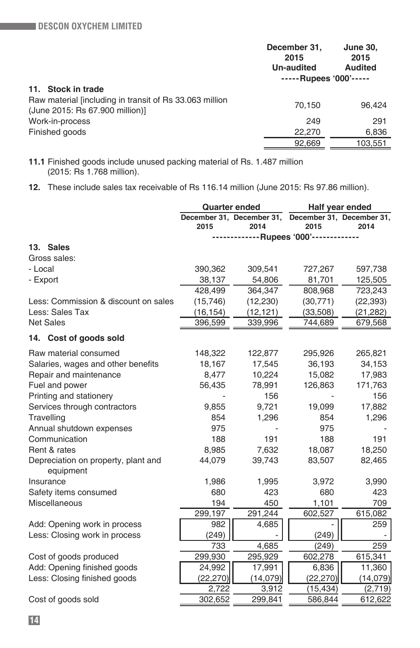|                                                                                            | December 31,<br>2015<br>Un-audited | <b>June 30,</b><br>2015<br><b>Audited</b> |
|--------------------------------------------------------------------------------------------|------------------------------------|-------------------------------------------|
|                                                                                            | -----Rupees '000'-----             |                                           |
| 11. Stock in trade                                                                         |                                    |                                           |
| Raw material lincluding in transit of Rs 33.063 million<br>(June 2015: Rs 67.900 million)] | 70.150                             | 96.424                                    |
| Work-in-process                                                                            | 249                                | 291                                       |
| Finished goods                                                                             | 22,270                             | 6,836                                     |
|                                                                                            | 92.669                             | 103,551                                   |
|                                                                                            |                                    |                                           |

**11.1** Finished goods include unused packing material of Rs. 1.487 million (2015: Rs 1.768 million).

**12.** These include sales tax receivable of Rs 116.14 million (June 2015: Rs 97.86 million).

|                                                  | <b>Quarter ended</b><br>Half year ended |           |                                                             |           |
|--------------------------------------------------|-----------------------------------------|-----------|-------------------------------------------------------------|-----------|
|                                                  | 2015                                    | 2014      | December 31, December 31, December 31, December 31,<br>2015 | 2014      |
|                                                  |                                         |           | -------------Rupees '000'-----------                        |           |
| 13. Sales                                        |                                         |           |                                                             |           |
| Gross sales:                                     |                                         |           |                                                             |           |
| - Local                                          | 390,362                                 | 309,541   | 727,267                                                     | 597,738   |
| - Export                                         | 38,137                                  | 54,806    | 81,701                                                      | 125,505   |
|                                                  | 428,499                                 | 364,347   | 808,968                                                     | 723,243   |
| Less: Commission & discount on sales             | (15, 746)                               | (12, 230) | (30, 771)                                                   | (22, 393) |
| Less: Sales Tax                                  | (16, 154)                               | (12, 121) | (33,508)                                                    | (21, 282) |
| <b>Net Sales</b>                                 | 396,599                                 | 339,996   | 744,689                                                     | 679,568   |
| 14. Cost of goods sold                           |                                         |           |                                                             |           |
| Raw material consumed                            | 148,322                                 | 122,877   | 295,926                                                     | 265,821   |
| Salaries, wages and other benefits               | 18,167                                  | 17,545    | 36,193                                                      | 34,153    |
| Repair and maintenance                           | 8,477                                   | 10,224    | 15,082                                                      | 17,983    |
| Fuel and power                                   | 56,435                                  | 78,991    | 126,863                                                     | 171,763   |
| Printing and stationery                          |                                         | 156       |                                                             | 156       |
| Services through contractors                     | 9,855                                   | 9,721     | 19,099                                                      | 17,882    |
| Travelling                                       | 854                                     | 1,296     | 854                                                         | 1,296     |
| Annual shutdown expenses                         | 975                                     |           | 975                                                         |           |
| Communication                                    | 188                                     | 191       | 188                                                         | 191       |
| Rent & rates                                     | 8,985                                   | 7,632     | 18,087                                                      | 18,250    |
| Depreciation on property, plant and<br>equipment | 44,079                                  | 39,743    | 83,507                                                      | 82,465    |
| Insurance                                        | 1,986                                   | 1,995     | 3,972                                                       | 3,990     |
| Safety items consumed                            | 680                                     | 423       | 680                                                         | 423       |
| Miscellaneous                                    | 194                                     | 450       | 1,101                                                       | 709       |
|                                                  | 299,197                                 | 291,244   | 602,527                                                     | 615,082   |
| Add: Opening work in process                     | 982                                     | 4,685     |                                                             | 259       |
| Less: Closing work in process                    | (249)                                   |           | (249)                                                       |           |
|                                                  | 733                                     | 4,685     | (249)                                                       | 259       |
| Cost of goods produced                           | 299,930                                 | 295,929   | 602,278                                                     | 615,341   |
| Add: Opening finished goods                      | 24,992                                  | 17,991    | 6,836                                                       | 11,360    |
| Less: Closing finished goods                     | (22, 270)                               | (14, 079) | (22, 270)                                                   | (14,079)  |
|                                                  | 2,722                                   | 3,912     | (15, 434)                                                   | (2,719)   |
| Cost of goods sold                               | 302,652                                 | 299,841   | 586,844                                                     | 612,622   |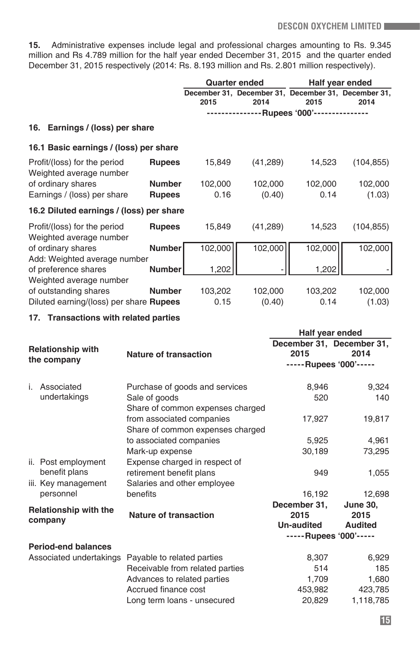**15.** Administrative expenses include legal and professional charges amounting to Rs. 9.345 million and Rs 4.789 million for the half year ended December 31, 2015 and the quarter ended December 31, 2015 respectively (2014: Rs. 8.193 million and Rs. 2.801 million respectively).

|                                                         |               |         | <b>Quarter ended</b>                                |                          | Half year ended |
|---------------------------------------------------------|---------------|---------|-----------------------------------------------------|--------------------------|-----------------|
|                                                         |               |         | December 31, December 31, December 31, December 31, |                          |                 |
|                                                         |               | 2015    | 2014                                                | 2015                     | 2014            |
|                                                         |               |         |                                                     | -Rupees '000'----------- |                 |
| 16. Earnings / (loss) per share                         |               |         |                                                     |                          |                 |
| 16.1 Basic earnings / (loss) per share                  |               |         |                                                     |                          |                 |
| Profit/(loss) for the period<br>Weighted average number | <b>Rupees</b> | 15,849  | (41, 289)                                           | 14,523                   | (104, 855)      |
| of ordinary shares                                      | <b>Number</b> | 102,000 | 102,000                                             | 102,000                  | 102,000         |
| Earnings / (loss) per share                             | <b>Rupees</b> | 0.16    | (0.40)                                              | 0.14                     | (1.03)          |
| 16.2 Diluted earnings / (loss) per share                |               |         |                                                     |                          |                 |
| Profit/(loss) for the period<br>Weighted average number | <b>Rupees</b> | 15,849  | (41, 289)                                           | 14,523                   | (104, 855)      |
| of ordinary shares                                      | <b>Number</b> | 102,000 | 102,000                                             | 102,000                  | 102,000         |
| Add: Weighted average number<br>of preference shares    | Number        | 1,202   |                                                     | 1,202                    |                 |
| Weighted average number                                 |               |         |                                                     |                          |                 |
| of outstanding shares                                   | <b>Number</b> | 103,202 | 102,000                                             | 103,202                  | 102,000         |
| Diluted earning/(loss) per share <b>Rupees</b>          |               | 0.15    | (0.40)                                              | 0.14                     | (1.03)          |

#### **17. Transactions with related parties**

|    |                              |                                  | Half year ended        |                           |
|----|------------------------------|----------------------------------|------------------------|---------------------------|
|    | <b>Relationship with</b>     |                                  |                        | December 31, December 31, |
|    | the company                  | Nature of transaction            | 2015                   | 2014                      |
|    |                              |                                  | -----Rupees '000'----- |                           |
| i. | Associated                   | Purchase of goods and services   | 8,946                  | 9,324                     |
|    | undertakings                 | Sale of goods                    | 520                    | 140                       |
|    |                              | Share of common expenses charged |                        |                           |
|    |                              | from associated companies        | 17,927                 | 19,817                    |
|    |                              | Share of common expenses charged |                        |                           |
|    |                              | to associated companies          | 5,925                  | 4,961                     |
|    |                              | Mark-up expense                  | 30,189                 | 73,295                    |
|    | ii. Post employment          | Expense charged in respect of    |                        |                           |
|    | benefit plans                | retirement benefit plans         | 949                    | 1,055                     |
|    | iii. Key management          | Salaries and other employee      |                        |                           |
|    | personnel                    | benefits                         | 16,192                 | 12,698                    |
|    |                              |                                  | December 31,           | <b>June 30.</b>           |
|    | <b>Relationship with the</b> | Nature of transaction            | 2015                   | 2015                      |
|    | company                      |                                  | Un-audited             | Audited                   |
|    |                              |                                  | -----Rupees '000'----- |                           |
|    | <b>Period-end balances</b>   |                                  |                        |                           |
|    | Associated undertakings      | Payable to related parties       | 8,307                  | 6,929                     |
|    |                              | Receivable from related parties  | 514                    | 185                       |
|    |                              | Advances to related parties      | 1,709                  | 1,680                     |
|    |                              | Accrued finance cost             | 453,982                | 423,785                   |
|    |                              | Long term loans - unsecured      | 20,829                 | 1,118,785                 |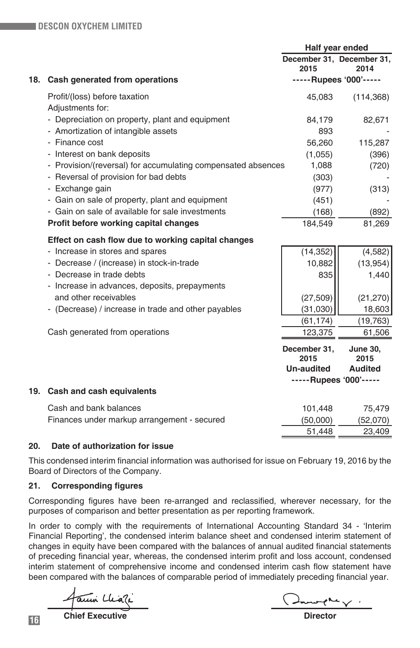|     |                                                              |                        | Half year ended                   |
|-----|--------------------------------------------------------------|------------------------|-----------------------------------|
|     |                                                              | 2015                   | December 31, December 31,<br>2014 |
| 18. | Cash generated from operations                               |                        | -----Rupees '000'-----            |
|     | Profit/(loss) before taxation<br>Adjustments for:            | 45,083                 | (114, 368)                        |
|     | - Depreciation on property, plant and equipment              | 84,179                 | 82,671                            |
|     | - Amortization of intangible assets                          | 893                    |                                   |
|     | - Finance cost                                               | 56,260                 | 115,287                           |
|     | - Interest on bank deposits                                  | (1,055)                | (396)                             |
|     | - Provision/(reversal) for accumulating compensated absences | 1,088                  | (720)                             |
|     | - Reversal of provision for bad debts                        | (303)                  |                                   |
|     | - Exchange gain                                              | (977)                  | (313)                             |
|     | - Gain on sale of property, plant and equipment              | (451)                  |                                   |
|     | - Gain on sale of available for sale investments             | (168)                  | (892)                             |
|     | Profit before working capital changes                        | 184,549                | 81,269                            |
|     | Effect on cash flow due to working capital changes           |                        |                                   |
|     | - Increase in stores and spares                              | (14, 352)              | (4,582)                           |
|     | - Decrease / (increase) in stock-in-trade                    | 10,882                 | (13, 954)                         |
|     | - Decrease in trade debts                                    | 835                    | 1,440                             |
|     | - Increase in advances, deposits, prepayments                |                        |                                   |
|     | and other receivables                                        | (27, 509)              | (21, 270)                         |
|     | - (Decrease) / increase in trade and other payables          | (31,030)               | 18,603                            |
|     |                                                              | (61, 174)              | (19, 763)                         |
|     | Cash generated from operations                               | 123,375                | 61,506                            |
|     |                                                              | December 31.<br>2015   | <b>June 30,</b><br>2015           |
|     |                                                              | <b>Un-audited</b>      | Audited                           |
|     |                                                              | -----Rupees '000'----- |                                   |
|     | 19. Cash and cash equivalents                                |                        |                                   |
|     | Cash and bank balances                                       | 101,448                | 75,479                            |
|     | Finances under markup arrangement - secured                  | (50,000)               | (52,070)                          |
|     |                                                              | 51.448                 | 23,409                            |

## **20. Date of authorization for issue**

This condensed interim financial information was authorised for issue on February 19, 2016 by the Board of Directors of the Company.

## **21. Corresponding figures**

Corresponding figures have been re-arranged and reclassified, wherever necessary, for the purposes of comparison and better presentation as per reporting framework.

In order to comply with the requirements of International Accounting Standard 34 - 'Interim Financial Reporting', the condensed interim balance sheet and condensed interim statement of changes in equity have been compared with the balances of annual audited financial statements of preceding financial year, whereas, the condensed interim profit and loss account, condensed interim statement of comprehensive income and condensed interim cash flow statement have been compared with the balances of comparable period of immediately preceding financial year.

Facuni Lliati

**16 Chief Executive Director**